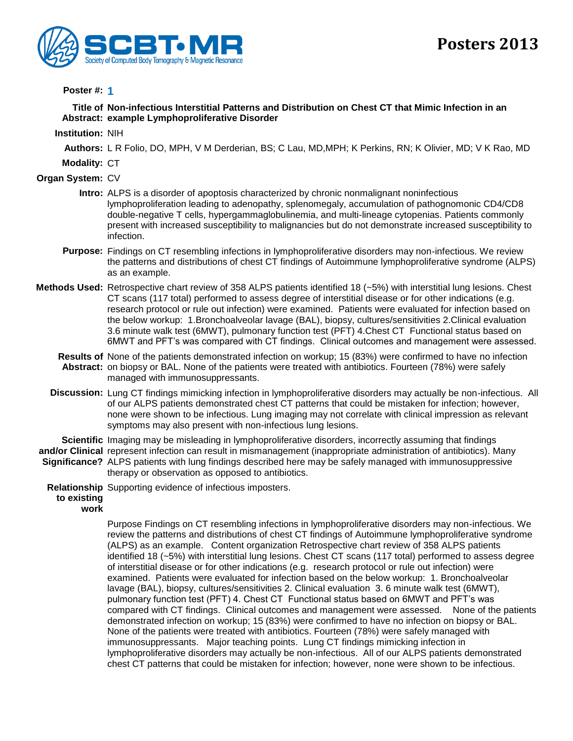

## **Poster #: 1**

**Title of Non-infectious Interstitial Patterns and Distribution on Chest CT that Mimic Infection in an Abstract: example Lymphoproliferative Disorder**

**Institution:** NIH

**Authors:** L R Folio, DO, MPH, V M Derderian, BS; C Lau, MD,MPH; K Perkins, RN; K Olivier, MD; V K Rao, MD

**Modality:** CT

**Organ System:** CV

- **Intro:** ALPS is a disorder of apoptosis characterized by chronic nonmalignant noninfectious lymphoproliferation leading to adenopathy, splenomegaly, accumulation of pathognomonic CD4/CD8 double-negative T cells, hypergammaglobulinemia, and multi-lineage cytopenias. Patients commonly present with increased susceptibility to malignancies but do not demonstrate increased susceptibility to infection.
- **Purpose:** Findings on CT resembling infections in lymphoproliferative disorders may non-infectious. We review the patterns and distributions of chest CT findings of Autoimmune lymphoproliferative syndrome (ALPS) as an example.
- **Methods Used:** Retrospective chart review of 358 ALPS patients identified 18 (~5%) with interstitial lung lesions. Chest CT scans (117 total) performed to assess degree of interstitial disease or for other indications (e.g. research protocol or rule out infection) were examined. Patients were evaluated for infection based on the below workup: 1.Bronchoalveolar lavage (BAL), biopsy, cultures/sensitivities 2.Clinical evaluation 3.6 minute walk test (6MWT), pulmonary function test (PFT) 4.Chest CT Functional status based on 6MWT and PFT's was compared with CT findings. Clinical outcomes and management were assessed.
	- **Results of**  None of the patients demonstrated infection on workup; 15 (83%) were confirmed to have no infection **Abstract:** on biopsy or BAL. None of the patients were treated with antibiotics. Fourteen (78%) were safely managed with immunosuppressants.
	- **Discussion:** Lung CT findings mimicking infection in lymphoproliferative disorders may actually be non-infectious. All of our ALPS patients demonstrated chest CT patterns that could be mistaken for infection; however, none were shown to be infectious. Lung imaging may not correlate with clinical impression as relevant symptoms may also present with non-infectious lung lesions.

Scientific Imaging may be misleading in lymphoproliferative disorders, incorrectly assuming that findings and/or Clinical represent infection can result in mismanagement (inappropriate administration of antibiotics). Many Significance? ALPS patients with lung findings described here may be safely managed with immunosuppressive therapy or observation as opposed to antibiotics.

**Relationship**  Supporting evidence of infectious imposters.

## **to existing**

**work**

Purpose Findings on CT resembling infections in lymphoproliferative disorders may non-infectious. We review the patterns and distributions of chest CT findings of Autoimmune lymphoproliferative syndrome (ALPS) as an example. Content organization Retrospective chart review of 358 ALPS patients identified 18 (~5%) with interstitial lung lesions. Chest CT scans (117 total) performed to assess degree of interstitial disease or for other indications (e.g. research protocol or rule out infection) were examined. Patients were evaluated for infection based on the below workup: 1. Bronchoalveolar lavage (BAL), biopsy, cultures/sensitivities 2. Clinical evaluation 3. 6 minute walk test (6MWT), pulmonary function test (PFT) 4. Chest CT Functional status based on 6MWT and PFT's was compared with CT findings. Clinical outcomes and management were assessed. None of the patients demonstrated infection on workup; 15 (83%) were confirmed to have no infection on biopsy or BAL. None of the patients were treated with antibiotics. Fourteen (78%) were safely managed with immunosuppressants. Major teaching points. Lung CT findings mimicking infection in lymphoproliferative disorders may actually be non-infectious. All of our ALPS patients demonstrated chest CT patterns that could be mistaken for infection; however, none were shown to be infectious.